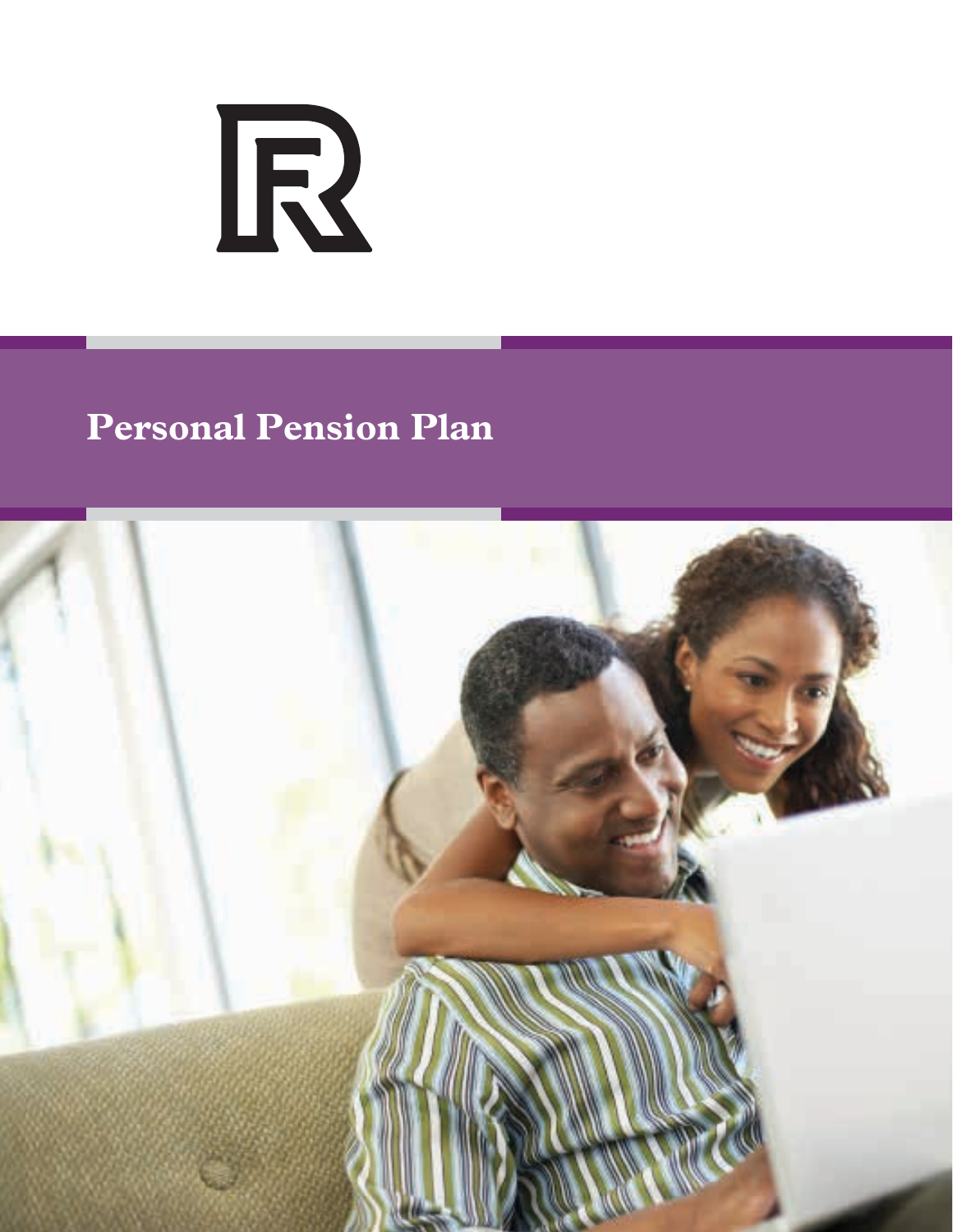

## **Personal Pension Plan**

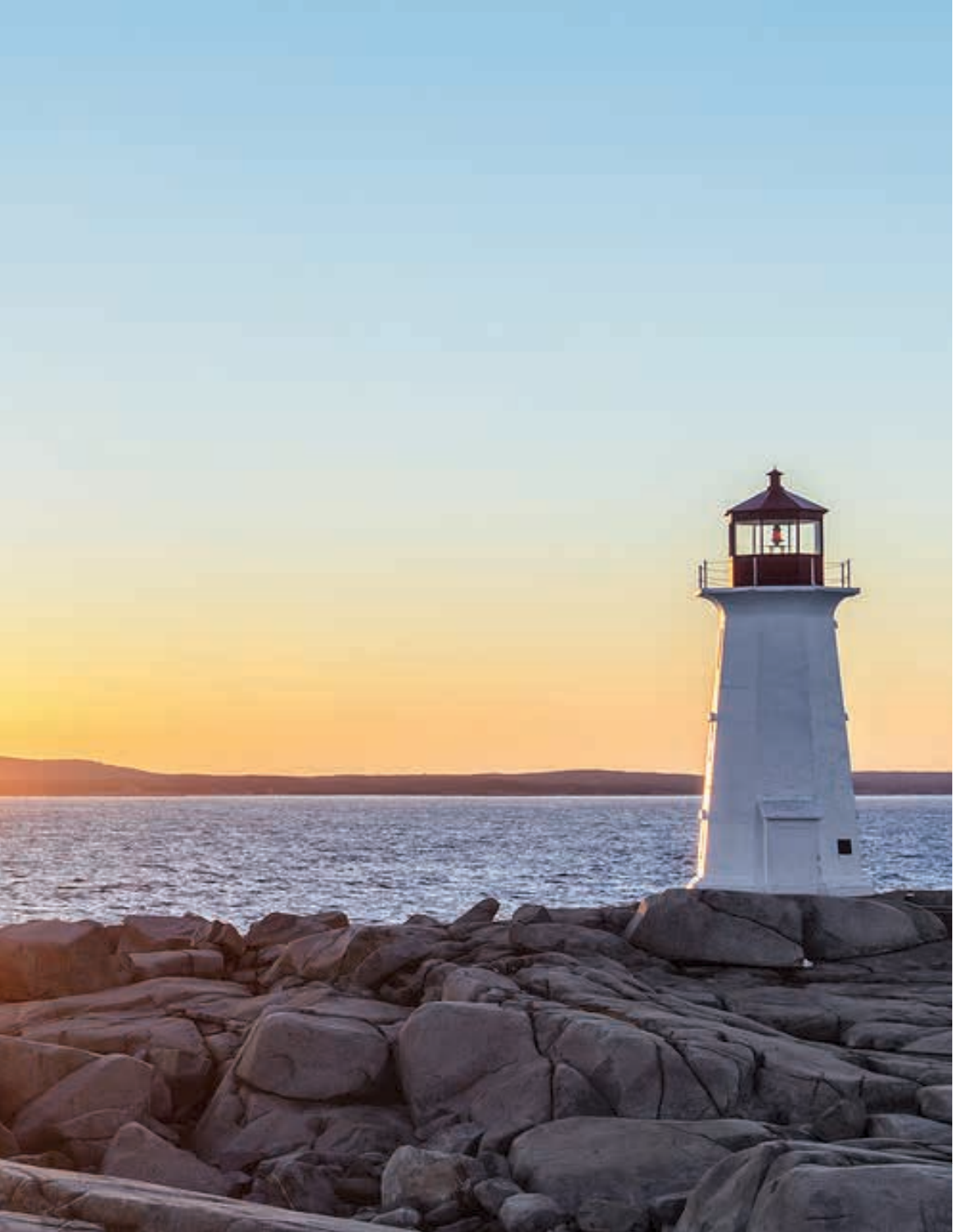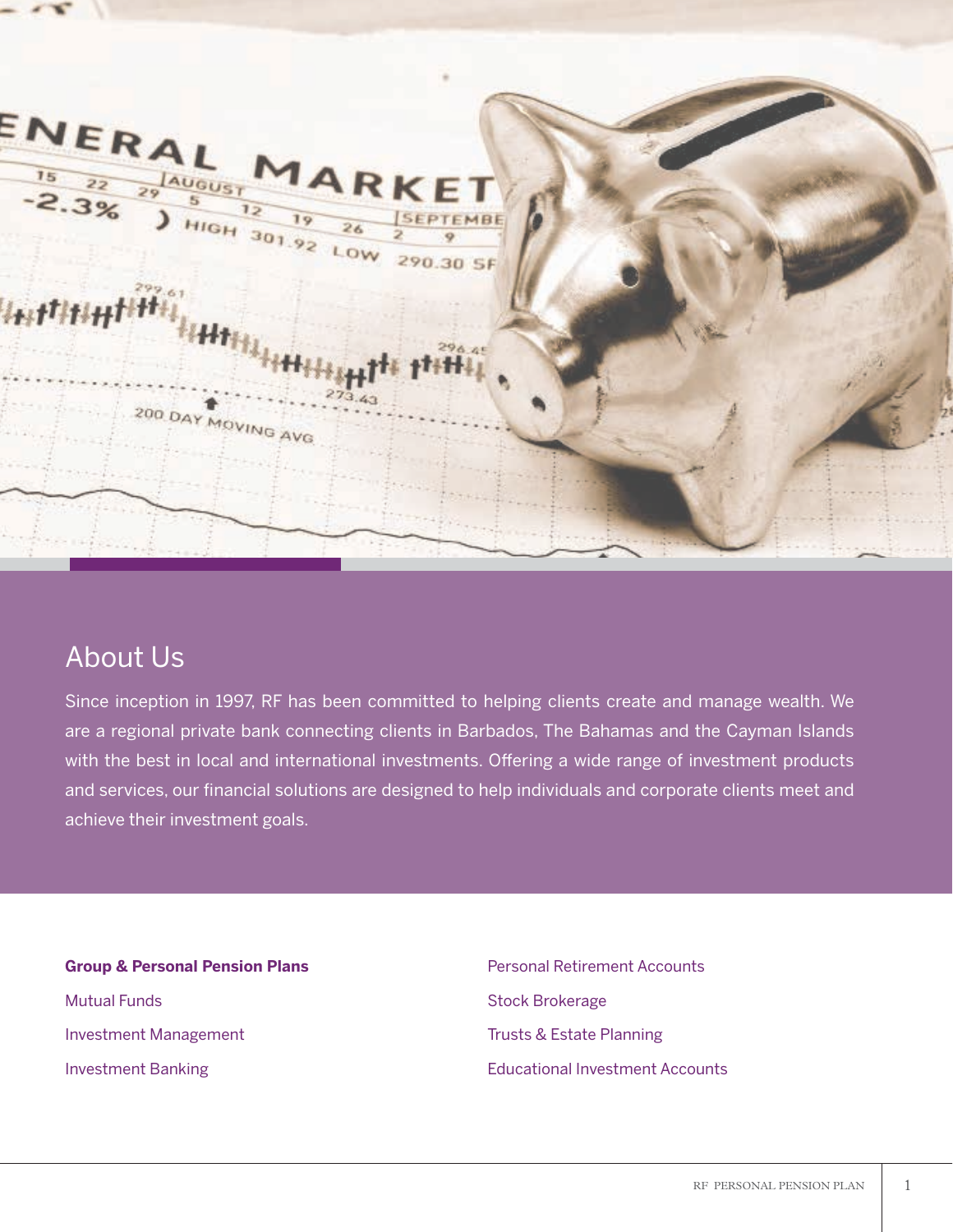

### About Us

Since inception in 1997, RF has been committed to helping clients create and manage wealth. We are a regional private bank connecting clients in Barbados, The Bahamas and the Cayman Islands with the best in local and international investments. Offering a wide range of investment products and services, our financial solutions are designed to help individuals and corporate clients meet and achieve their investment goals.

**Group & Personal Pension Plans** Mutual Funds Investment Management Investment Banking

Personal Retirement Accounts Stock Brokerage Trusts & Estate Planning Educational Investment Accounts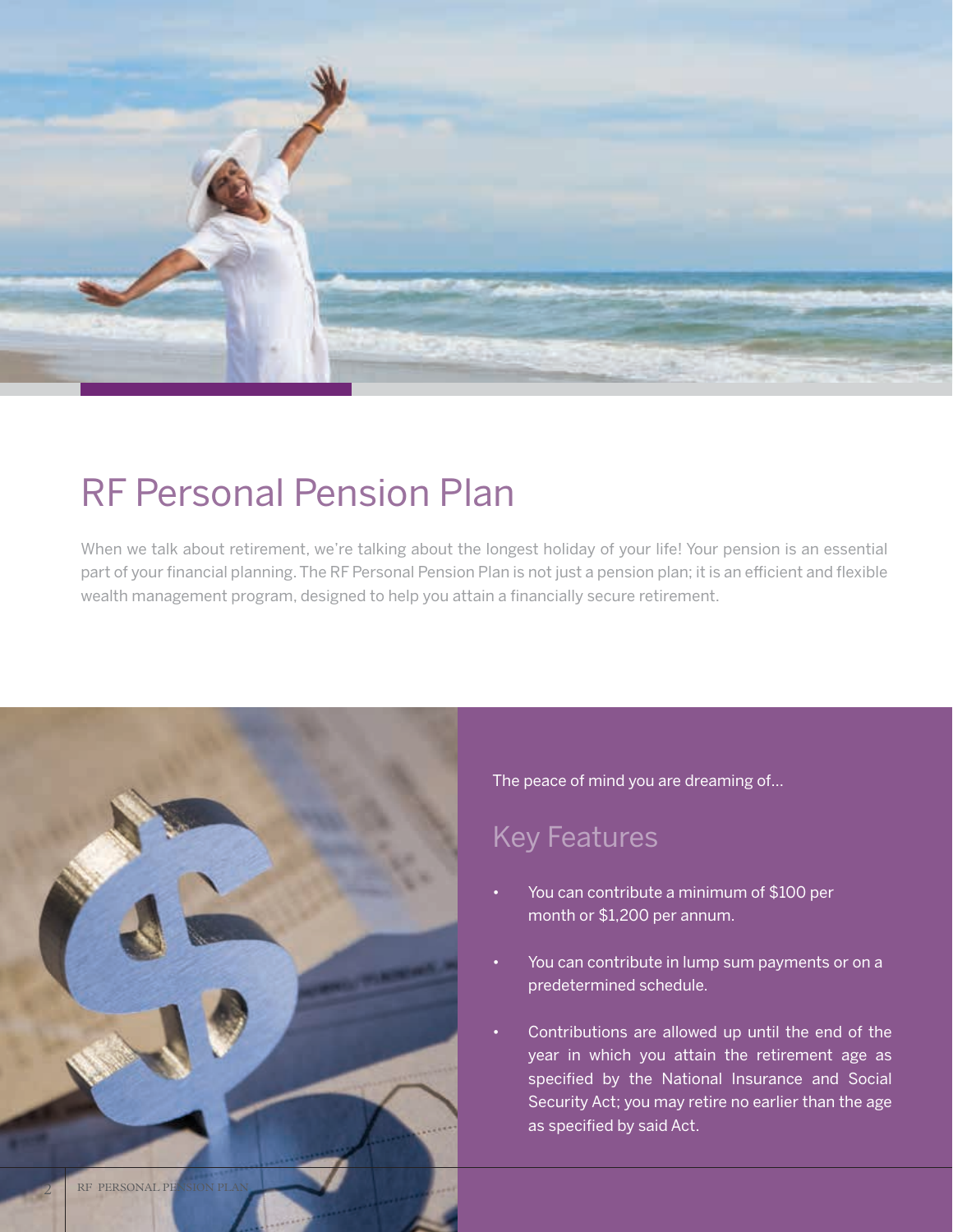

## RF Personal Pension Plan

When we talk about retirement, we're talking about the longest holiday of your life! Your pension is an essential part of your financial planning. The RF Personal Pension Plan is not just a pension plan; it is an efficient and flexible wealth management program, designed to help you attain a financially secure retirement.



The peace of mind you are dreaming of…

### Key Features

- You can contribute a minimum of \$100 per month or \$1,200 per annum.
- You can contribute in lump sum payments or on a predetermined schedule.
- Contributions are allowed up until the end of the year in which you attain the retirement age as specified by the National Insurance and Social Security Act; you may retire no earlier than the age as specified by said Act.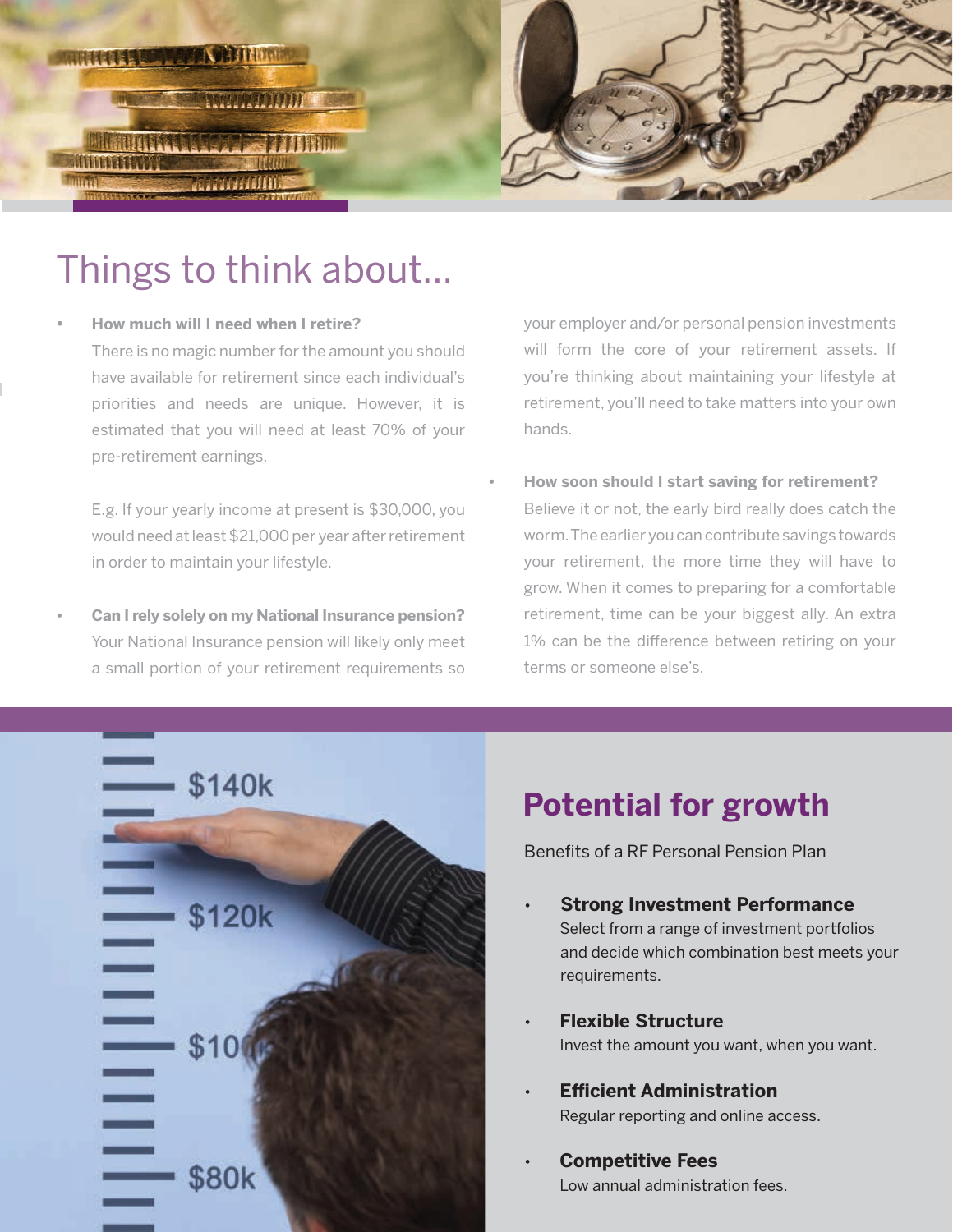

## Things to think about…

### **• How much will I need when I retire?**

 There is no magic number for the amount you should have available for retirement since each individual's priorities and needs are unique. However, it is estimated that you will need at least 70% of your pre-retirement earnings.

 E.g. If your yearly income at present is \$30,000, you would need at least \$21,000 per year after retirement in order to maintain your lifestyle.

**• Can I rely solely on my National Insurance pension?** Your National Insurance pension will likely only meet a small portion of your retirement requirements so your employer and/or personal pension investments will form the core of your retirement assets. If you're thinking about maintaining your lifestyle at retirement, you'll need to take matters into your own hands.

**• How soon should I start saving for retirement?** Believe it or not, the early bird really does catch the worm. The earlier you can contribute savings towards your retirement, the more time they will have to grow. When it comes to preparing for a comfortable retirement, time can be your biggest ally. An extra 1% can be the difference between retiring on your terms or someone else's.



### **Potential for growth**

Benefits of a RF Personal Pension Plan

- **Strong Investment Performance** Select from a range of investment portfolios and decide which combination best meets your requirements.
- **Flexible Structure** Invest the amount you want, when you want.
- **Efficient Administration**  Regular reporting and online access.

### • **Competitive Fees** Low annual administration fees.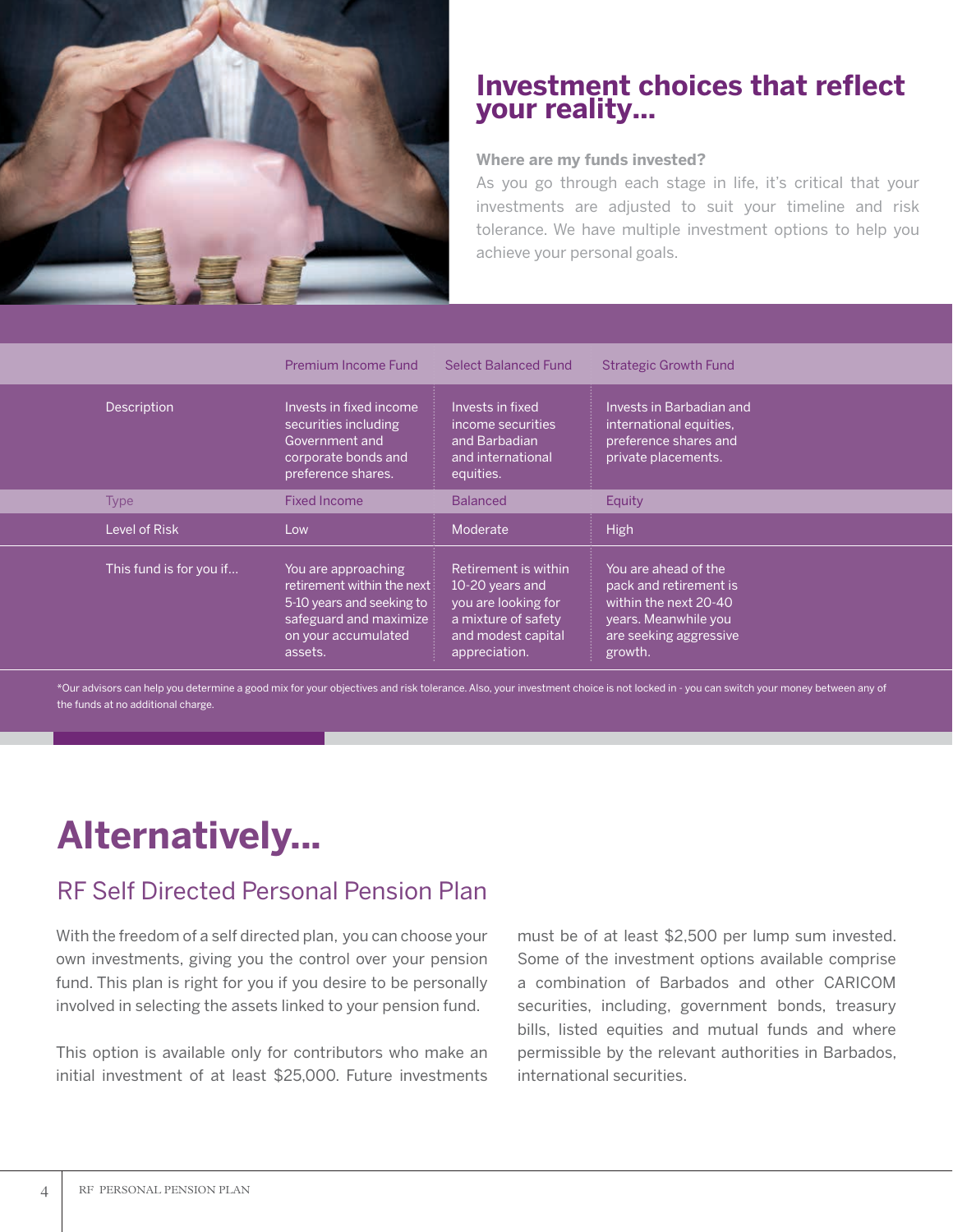

### **Investment choices that reflect your reality…**

#### **Where are my funds invested?**

As you go through each stage in life, it's critical that your investments are adjusted to suit your timeline and risk tolerance. We have multiple investment options to help you achieve your personal goals.

|                         | Premium Income Fund                                                                                                                        | <b>Select Balanced Fund</b>                                                                                                  | <b>Strategic Growth Fund</b>                                                                                                         |
|-------------------------|--------------------------------------------------------------------------------------------------------------------------------------------|------------------------------------------------------------------------------------------------------------------------------|--------------------------------------------------------------------------------------------------------------------------------------|
| <b>Description</b>      | Invests in fixed income<br>securities including<br>Government and<br>corporate bonds and<br>preference shares.                             | Invests in fixed<br>income securities<br>and Barbadian<br>and international<br>equities.                                     | Invests in Barbadian and<br>international equities.<br>preference shares and<br>private placements.                                  |
| <b>Type</b>             | <b>Fixed Income</b>                                                                                                                        | <b>Balanced</b>                                                                                                              | Equity                                                                                                                               |
| Level of Risk           | Low                                                                                                                                        | Moderate                                                                                                                     | <b>High</b>                                                                                                                          |
| This fund is for you if | You are approaching<br>retirement within the next<br>5-10 years and seeking to<br>safeguard and maximize<br>on your accumulated<br>assets. | Retirement is within<br>10-20 years and<br>you are looking for<br>a mixture of safety<br>and modest capital<br>appreciation. | You are ahead of the<br>pack and retirement is<br>within the next 20-40<br>years. Meanwhile you<br>are seeking aggressive<br>growth. |

\*Our advisors can help you determine a good mix for your objectives and risk tolerance. Also, your investment choice is not locked in - you can switch your money between any of the funds at no additional charge.

# **Alternatively...**

### RF Self Directed Personal Pension Plan

With the freedom of a self directed plan, you can choose your own investments, giving you the control over your pension fund. This plan is right for you if you desire to be personally involved in selecting the assets linked to your pension fund.

This option is available only for contributors who make an initial investment of at least \$25,000. Future investments must be of at least \$2,500 per lump sum invested. Some of the investment options available comprise a combination of Barbados and other CARICOM securities, including, government bonds, treasury bills, listed equities and mutual funds and where permissible by the relevant authorities in Barbados, international securities.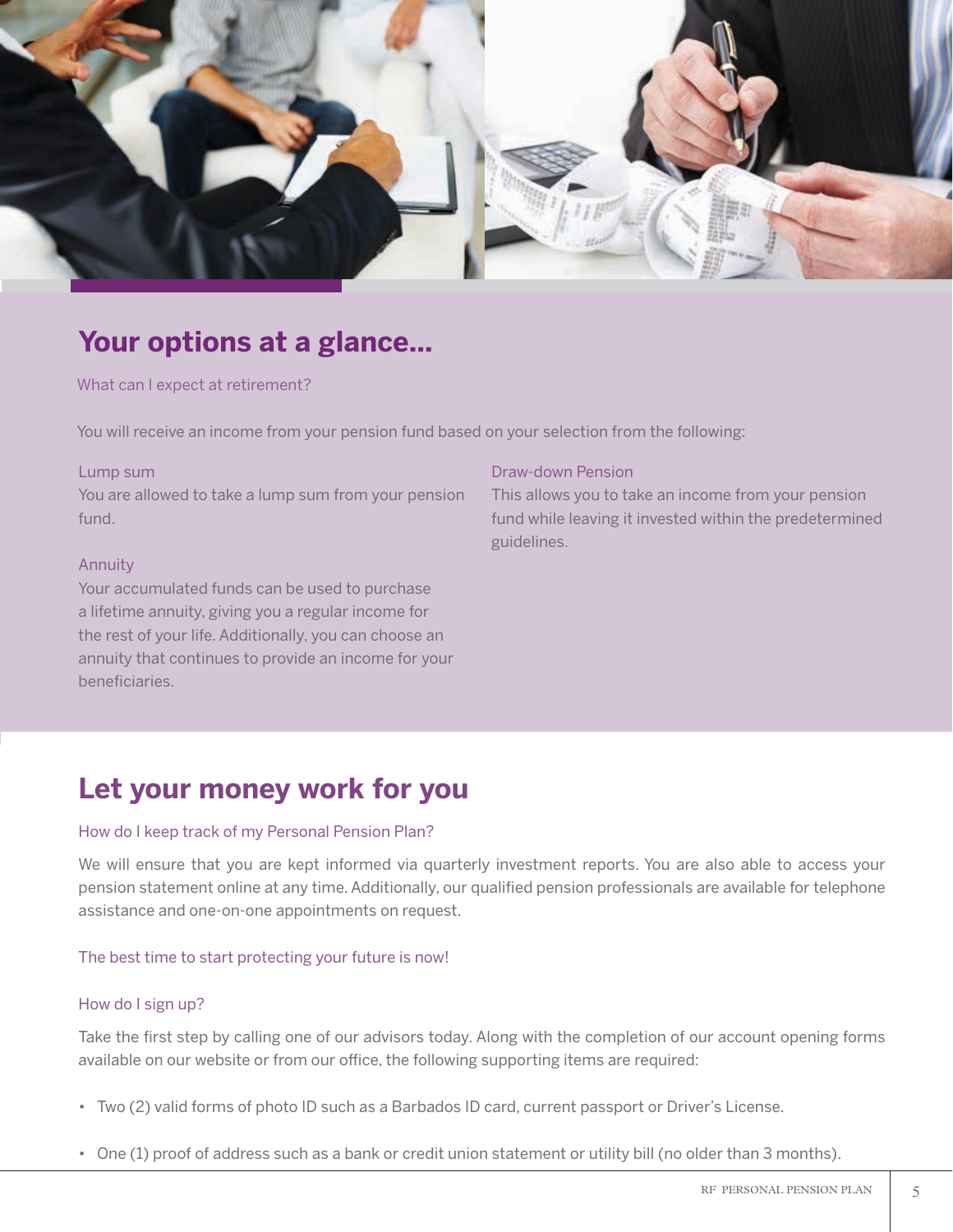

### **Your options at a glance…**

What can I expect at retirement?

You will receive an income from your pension fund based on your selection from the following:

#### Lump sum

You are allowed to take a lump sum from your pension fund.

### Annuity

Your accumulated funds can be used to purchase a lifetime annuity, giving you a regular income for the rest of your life. Additionally, you can choose an annuity that continues to provide an income for your beneficiaries.

#### Draw-down Pension

This allows you to take an income from your pension fund while leaving it invested within the predetermined guidelines.

### **Let your money work for you**

#### How do I keep track of my Personal Pension Plan?

We will ensure that you are kept informed via quarterly investment reports. You are also able to access your pension statement online at any time. Additionally, our qualified pension professionals are available for telephone assistance and one-on-one appointments on request.

### The best time to start protecting your future is now!

#### How do I sign up?

Take the first step by calling one of our advisors today. Along with the completion of our account opening forms available on our website or from our office, the following supporting items are required:

- Two (2) valid forms of photo ID such as a Barbados ID card, current passport or Driver's License.
- One (1) proof of address such as a bank or credit union statement or utility bill (no older than 3 months).